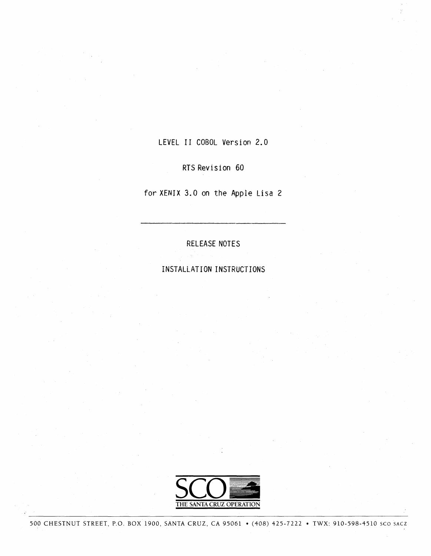LEVEL II COBOL Version 2.0

RTS Revision 60

for XENIX 3.0 on the Apple Lisa 2

RELEASE NOTES

INSTALLATION INSTRUCTIONS

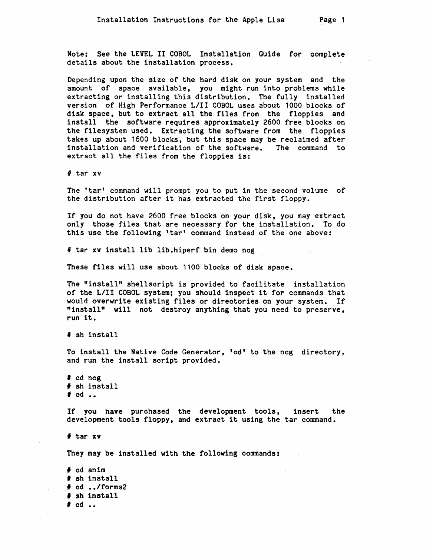Note: See the LEVEL II COBOL Installation Guide for oomplete details about the installation process.

Depending upon the size of the hard disk on your system and the amount of space available, you might run into problems while extraoting or installing this distribution. The fully installed version of High Performance L/I! COBOL uses about 1000 blooks of disk space, but to extract all the files from the floppies and install the software requires approximately 2600 free blocks on the filesystem used. Extracting the software from the floppies takes up about 1600 blocks, but this space may be reclaimed after installation and verification of the software. The command to extract all the files from the floppies is:

II tar xv

The 'tar' command will prompt you to put in the second volume of the distribution after it has extracted the first floppy.

If you do not have 2600 free blocks on your disk, you may extract only those files that are necessary for the installation. To do this use the following 'tar' command instead of the one above:

# tar xv install lib lib.hiperf bin demo ncg

These files will use about 1100 blocks of disk space.

The "install" shellscript is provided to facilitate installation of the LIII COBOL system; you should inspect it for commands that would overwrite existing files or directories on your system. If "install" will not destroy anything that you need to preserve, run it.

# sh install

To install the Native Code Generator, 'cd' to the ncg directory, and run the install script provided.

, cd neg  $\sharp$  sh install  $\#$  cd  $\ldots$ 

If you have purchased the development tools, insert the development tools floppy, and extract it using the tar command.

# tar xv

They may be installed with the following oommands:

, cd anlm # sh install , od *•• /forms2*  , sh install  $#$  cd  $\ldots$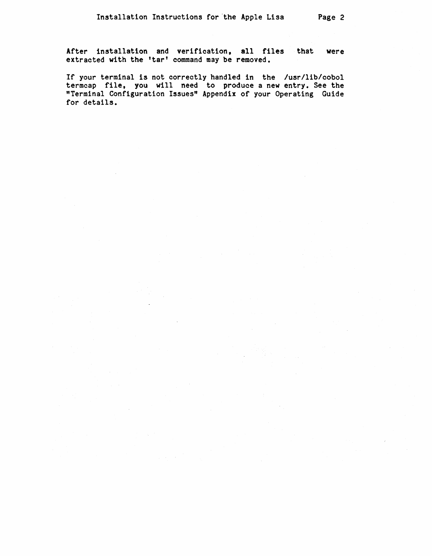After installation and verification, all files that were extracted with the 'tar' command may be removed.

If your terminal is not correctly handled 1n the /usr/lib/cobol termcap file, you will need to produce a new entry. See the "Terminal Configuration Issues" Appendix of your Operating Guide for details.